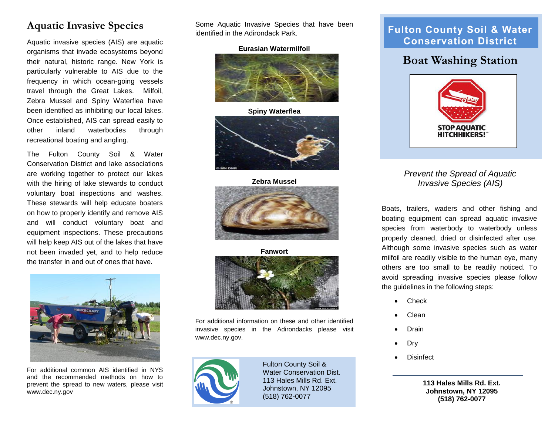#### **Aquatic Invasive Species**

Aquatic invasive species (AIS) are aquatic organisms that invade ecosystems beyond their natural, historic range. New York is particularly vulnerable to AIS due to the frequency in which ocean-going vessels travel through the Great Lakes. Milfoil, Zebra Mussel and Spiny Waterflea have been identified as inhibiting our local lakes. Once established, AIS can spread easily to other inland waterbodies through recreational boating and angling.

The Fulton County Soil & Water Conservation District and lake associations are working together to protect our lakes with the hiring of lake stewards to conduct voluntary boat inspections and washes. These stewards will help educate boaters on how to properly identify and remove AIS and will conduct voluntary boat and equipment inspections. These precautions will help keep AIS out of the lakes that have not been invaded yet, and to help reduce the transfer in and out of ones that have.



For additional common AIS identified in NYS and the recommended methods on how to prevent the spread to new waters, please visit www.dec.ny.gov

Some Aquatic Invasive Species that have been identified in the Adirondack Park.

#### **Eurasian Watermilfoil**



**Spiny Waterflea**



**Zebra Mussel**



**Fanwort**



For additional information on these and other identified invasive species in the Adirondacks please visit www.dec.ny.gov.



Fulton County Soil & Water Conservation Dist. 113 Hales Mills Rd. Ext. Johnstown, NY 12095 (518) 762-0077

#### **Fulton County Soil & Water Conservation District**

## **Boat Washing Station**



*Prevent the Spread of Aquatic Invasive Species (AIS)*

Boats, trailers, waders and other fishing and boating equipment can spread [aquatic invasive](http://www.dec.ny.gov/animals/50121.html)  [species](http://www.dec.ny.gov/animals/50121.html) from waterbody to waterbody unless properly cleaned, dried or disinfected after use. Although some invasive species such as water milfoil are readily visible to the human eye, many others are too small to be readily noticed. To avoid spreading invasive species please follow the guidelines in the following steps:

- Check
- Clean
- Drain
- Dry
- Disinfect

**113 Hales Mills Rd. Ext. Johnstown, NY 12095 (518) 762-0077**